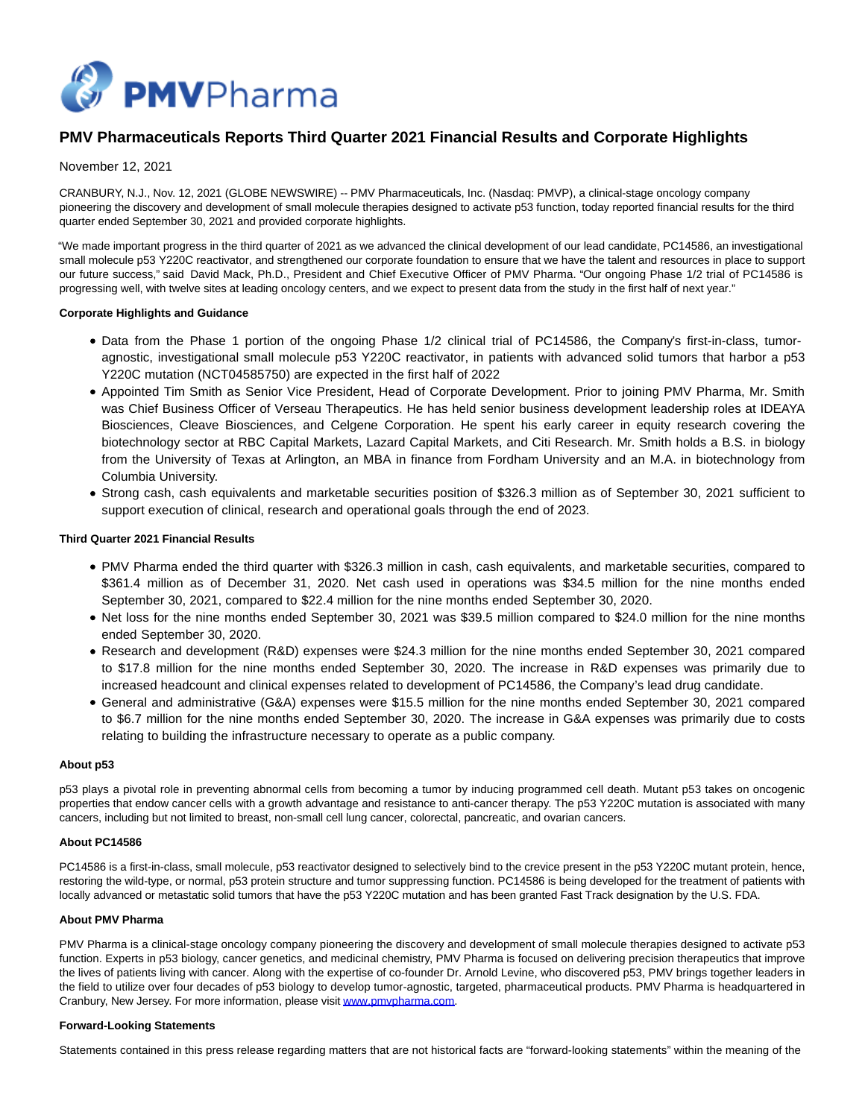

# **PMV Pharmaceuticals Reports Third Quarter 2021 Financial Results and Corporate Highlights**

# November 12, 2021

CRANBURY, N.J., Nov. 12, 2021 (GLOBE NEWSWIRE) -- PMV Pharmaceuticals, Inc. (Nasdaq: PMVP), a clinical-stage oncology company pioneering the discovery and development of small molecule therapies designed to activate p53 function, today reported financial results for the third quarter ended September 30, 2021 and provided corporate highlights.

"We made important progress in the third quarter of 2021 as we advanced the clinical development of our lead candidate, PC14586, an investigational small molecule p53 Y220C reactivator, and strengthened our corporate foundation to ensure that we have the talent and resources in place to support our future success," said David Mack, Ph.D., President and Chief Executive Officer of PMV Pharma. "Our ongoing Phase 1/2 trial of PC14586 is progressing well, with twelve sites at leading oncology centers, and we expect to present data from the study in the first half of next year."

## **Corporate Highlights and Guidance**

- Data from the Phase 1 portion of the ongoing Phase 1/2 clinical trial of PC14586, the Company's first-in-class, tumoragnostic, investigational small molecule p53 Y220C reactivator, in patients with advanced solid tumors that harbor a p53 Y220C mutation (NCT04585750) are expected in the first half of 2022
- Appointed Tim Smith as Senior Vice President, Head of Corporate Development. Prior to joining PMV Pharma, Mr. Smith was Chief Business Officer of Verseau Therapeutics. He has held senior business development leadership roles at IDEAYA Biosciences, Cleave Biosciences, and Celgene Corporation. He spent his early career in equity research covering the biotechnology sector at RBC Capital Markets, Lazard Capital Markets, and Citi Research. Mr. Smith holds a B.S. in biology from the University of Texas at Arlington, an MBA in finance from Fordham University and an M.A. in biotechnology from Columbia University.
- Strong cash, cash equivalents and marketable securities position of \$326.3 million as of September 30, 2021 sufficient to support execution of clinical, research and operational goals through the end of 2023.

## **Third Quarter 2021 Financial Results**

- PMV Pharma ended the third quarter with \$326.3 million in cash, cash equivalents, and marketable securities, compared to \$361.4 million as of December 31, 2020. Net cash used in operations was \$34.5 million for the nine months ended September 30, 2021, compared to \$22.4 million for the nine months ended September 30, 2020.
- Net loss for the nine months ended September 30, 2021 was \$39.5 million compared to \$24.0 million for the nine months ended September 30, 2020.
- Research and development (R&D) expenses were \$24.3 million for the nine months ended September 30, 2021 compared to \$17.8 million for the nine months ended September 30, 2020. The increase in R&D expenses was primarily due to increased headcount and clinical expenses related to development of PC14586, the Company's lead drug candidate.
- General and administrative (G&A) expenses were \$15.5 million for the nine months ended September 30, 2021 compared to \$6.7 million for the nine months ended September 30, 2020. The increase in G&A expenses was primarily due to costs relating to building the infrastructure necessary to operate as a public company.

#### **About p53**

p53 plays a pivotal role in preventing abnormal cells from becoming a tumor by inducing programmed cell death. Mutant p53 takes on oncogenic properties that endow cancer cells with a growth advantage and resistance to anti-cancer therapy. The p53 Y220C mutation is associated with many cancers, including but not limited to breast, non-small cell lung cancer, colorectal, pancreatic, and ovarian cancers.

#### **About PC14586**

PC14586 is a first-in-class, small molecule, p53 reactivator designed to selectively bind to the crevice present in the p53 Y220C mutant protein, hence, restoring the wild-type, or normal, p53 protein structure and tumor suppressing function. PC14586 is being developed for the treatment of patients with locally advanced or metastatic solid tumors that have the p53 Y220C mutation and has been granted Fast Track designation by the U.S. FDA.

#### **About PMV Pharma**

PMV Pharma is a clinical-stage oncology company pioneering the discovery and development of small molecule therapies designed to activate p53 function. Experts in p53 biology, cancer genetics, and medicinal chemistry, PMV Pharma is focused on delivering precision therapeutics that improve the lives of patients living with cancer. Along with the expertise of co-founder Dr. Arnold Levine, who discovered p53, PMV brings together leaders in the field to utilize over four decades of p53 biology to develop tumor-agnostic, targeted, pharmaceutical products. PMV Pharma is headquartered in Cranbury, New Jersey. For more information, please visi[t www.pmvpharma.com.](https://www.globenewswire.com/Tracker?data=_zuxHNLj_vXvQcOvFmHoO8NYwdCW4b7MYqgz83bK4ZHgcD2_RAJJJOoW-eg0RqfMO9SGQREsHDql_OdG5sxMnw==)

#### **Forward-Looking Statements**

Statements contained in this press release regarding matters that are not historical facts are "forward-looking statements" within the meaning of the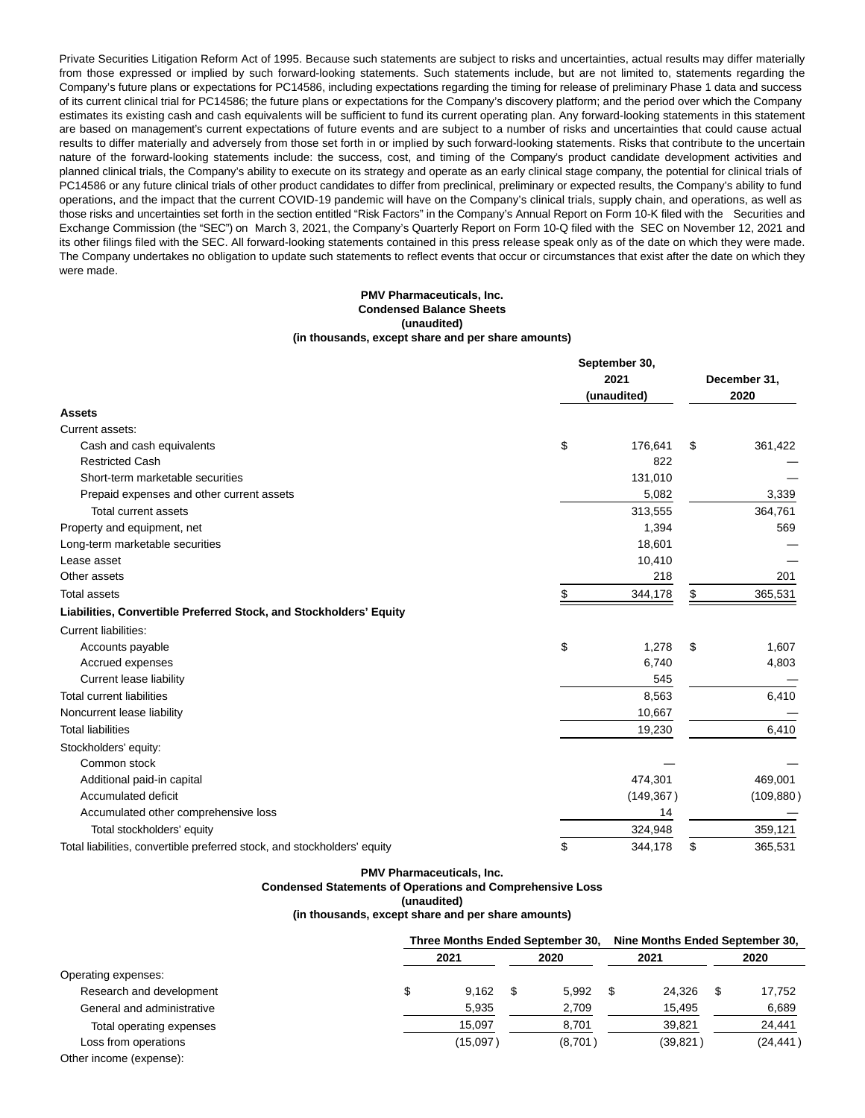Private Securities Litigation Reform Act of 1995. Because such statements are subject to risks and uncertainties, actual results may differ materially from those expressed or implied by such forward-looking statements. Such statements include, but are not limited to, statements regarding the Company's future plans or expectations for PC14586, including expectations regarding the timing for release of preliminary Phase 1 data and success of its current clinical trial for PC14586; the future plans or expectations for the Company's discovery platform; and the period over which the Company estimates its existing cash and cash equivalents will be sufficient to fund its current operating plan. Any forward-looking statements in this statement are based on management's current expectations of future events and are subject to a number of risks and uncertainties that could cause actual results to differ materially and adversely from those set forth in or implied by such forward-looking statements. Risks that contribute to the uncertain nature of the forward-looking statements include: the success, cost, and timing of the Company's product candidate development activities and planned clinical trials, the Company's ability to execute on its strategy and operate as an early clinical stage company, the potential for clinical trials of PC14586 or any future clinical trials of other product candidates to differ from preclinical, preliminary or expected results, the Company's ability to fund operations, and the impact that the current COVID-19 pandemic will have on the Company's clinical trials, supply chain, and operations, as well as those risks and uncertainties set forth in the section entitled "Risk Factors" in the Company's Annual Report on Form 10-K filed with the Securities and Exchange Commission (the "SEC") on March 3, 2021, the Company's Quarterly Report on Form 10-Q filed with the SEC on November 12, 2021 and its other filings filed with the SEC. All forward-looking statements contained in this press release speak only as of the date on which they were made. The Company undertakes no obligation to update such statements to reflect events that occur or circumstances that exist after the date on which they were made.

## **PMV Pharmaceuticals, Inc. Condensed Balance Sheets (unaudited) (in thousands, except share and per share amounts)**

|                                                                          | September 30,<br>(unaudited) | December 31,<br>2020 |    |            |
|--------------------------------------------------------------------------|------------------------------|----------------------|----|------------|
| <b>Assets</b>                                                            |                              |                      |    |            |
| Current assets:                                                          |                              |                      |    |            |
| Cash and cash equivalents                                                | \$                           | 176,641              | \$ | 361,422    |
| <b>Restricted Cash</b>                                                   |                              | 822                  |    |            |
| Short-term marketable securities                                         |                              | 131,010              |    |            |
| Prepaid expenses and other current assets                                |                              | 5,082                |    | 3,339      |
| <b>Total current assets</b>                                              |                              | 313,555              |    | 364,761    |
| Property and equipment, net                                              |                              | 1,394                |    | 569        |
| Long-term marketable securities                                          |                              | 18,601               |    |            |
| Lease asset                                                              |                              | 10,410               |    |            |
| Other assets                                                             |                              | 218                  |    | 201        |
| <b>Total assets</b>                                                      | \$                           | 344,178              | \$ | 365,531    |
| Liabilities, Convertible Preferred Stock, and Stockholders' Equity       |                              |                      |    |            |
| Current liabilities:                                                     |                              |                      |    |            |
| Accounts payable                                                         | \$                           | 1,278                | \$ | 1,607      |
| Accrued expenses                                                         |                              | 6,740                |    | 4,803      |
| Current lease liability                                                  |                              | 545                  |    |            |
| <b>Total current liabilities</b>                                         |                              | 8,563                |    | 6,410      |
| Noncurrent lease liability                                               |                              | 10,667               |    |            |
| <b>Total liabilities</b>                                                 |                              | 19,230               |    | 6,410      |
| Stockholders' equity:                                                    |                              |                      |    |            |
| Common stock                                                             |                              |                      |    |            |
| Additional paid-in capital                                               |                              | 474,301              |    | 469,001    |
| Accumulated deficit                                                      |                              | (149, 367)           |    | (109, 880) |
| Accumulated other comprehensive loss                                     |                              | 14                   |    |            |
| Total stockholders' equity                                               |                              | 324,948              |    | 359,121    |
| Total liabilities, convertible preferred stock, and stockholders' equity | \$                           | 344,178              | \$ | 365,531    |

#### **PMV Pharmaceuticals, Inc.**

**Condensed Statements of Operations and Comprehensive Loss**

## **(unaudited)**

**(in thousands, except share and per share amounts)**

|                            |      | Three Months Ended September 30, |      |         |      | Nine Months Ended September 30, |      |           |  |
|----------------------------|------|----------------------------------|------|---------|------|---------------------------------|------|-----------|--|
|                            | 2021 |                                  | 2020 |         | 2021 |                                 | 2020 |           |  |
| Operating expenses:        |      |                                  |      |         |      |                                 |      |           |  |
| Research and development   |      | 9.162                            | \$   | 5.992   | S    | 24.326                          | S    | 17,752    |  |
| General and administrative |      | 5,935                            |      | 2,709   |      | 15.495                          |      | 6,689     |  |
| Total operating expenses   |      | 15.097                           |      | 8,701   |      | 39,821                          |      | 24,441    |  |
| Loss from operations       |      | (15,097)                         |      | (8,701) |      | (39, 821)                       |      | (24, 441) |  |
| Other income (expense):    |      |                                  |      |         |      |                                 |      |           |  |